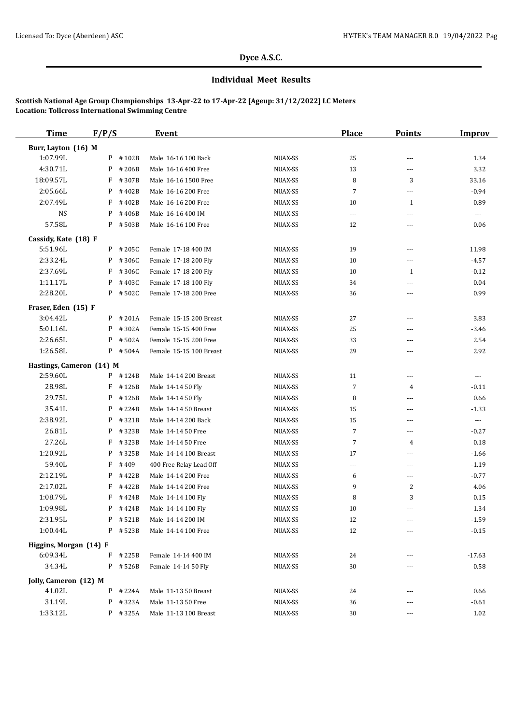#### **Dyce A.S.C.**

# **Individual Meet Results**

### **Scottish National Age Group Championships 13-Apr-22 to 17-Apr-22 [Ageup: 31/12/2022] LC Meters Location: Tollcross International Swimming Centre**

| <b>Time</b>                          | F/P/S      | Event                   |         | <b>Place</b>         | <b>Points</b>            | <b>Improv</b>            |
|--------------------------------------|------------|-------------------------|---------|----------------------|--------------------------|--------------------------|
| Burr, Layton (16) M                  |            |                         |         |                      |                          |                          |
| 1:07.99L                             | $P$ #102B  | Male 16-16 100 Back     | NUAX-SS | 25                   | ---                      | 1.34                     |
| 4:30.71L                             | P<br>#206B | Male 16-16 400 Free     | NUAX-SS | 13                   | $\sim$ $\sim$            | 3.32                     |
| 18:09.57L                            | F<br>#307B | Male 16-16 1500 Free    | NUAX-SS | 8                    | 3                        | 33.16                    |
| 2:05.66L                             | P<br>#402B | Male 16-16 200 Free     | NUAX-SS | 7                    | $\overline{a}$           | $-0.94$                  |
| 2:07.49L                             | F<br>#402B | Male 16-16 200 Free     | NUAX-SS | 10                   | 1                        | 0.89                     |
| <b>NS</b>                            | P<br>#406B | Male 16-16 400 IM       | NUAX-SS | $\overline{a}$       | $- - -$                  | $\overline{\phantom{a}}$ |
| 57.58L                               | P #503B    | Male 16-16 100 Free     | NUAX-SS | 12                   | $\cdots$                 | 0.06                     |
| Cassidy, Kate (18) F                 |            |                         |         |                      |                          |                          |
| 5:51.96L                             | $P$ # 205C | Female 17-18 400 IM     | NUAX-SS | 19                   | $\overline{\phantom{a}}$ | 11.98                    |
| 2:33.24L                             | $P$ # 306C | Female 17-18 200 Fly    | NUAX-SS | 10                   | ---                      | $-4.57$                  |
| 2:37.69L                             | F<br>#306C | Female 17-18 200 Fly    | NUAX-SS | 10                   | 1                        | $-0.12$                  |
| 1:11.17L                             | P<br>#403C | Female 17-18 100 Fly    | NUAX-SS | 34                   | ---                      | 0.04                     |
| 2:28.20L                             | P #502C    | Female 17-18 200 Free   | NUAX-SS | 36                   | ---                      | 0.99                     |
| Fraser, Eden (15) F                  |            |                         |         |                      |                          |                          |
| 3:04.42L                             | $P$ # 201A | Female 15-15 200 Breast | NUAX-SS | 27                   | ---                      | 3.83                     |
| 5:01.16L                             | P<br>#302A | Female 15-15 400 Free   | NUAX-SS | 25                   | $- - -$                  | $-3.46$                  |
| 2:26.65L                             | #502A<br>P | Female 15-15 200 Free   | NUAX-SS | 33                   | ---                      | 2.54                     |
| 1:26.58L                             | $P$ # 504A | Female 15-15 100 Breast | NUAX-SS | 29                   | $---$                    | 2.92                     |
|                                      |            |                         |         |                      |                          |                          |
| Hastings, Cameron (14) M<br>2:59.60L | $P$ #124B  | Male 14-14 200 Breast   | NUAX-SS |                      | $\sim$ $\sim$            | $---$                    |
| 28.98L                               | $F$ #126B  | Male 14-14 50 Fly       | NUAX-SS | 11<br>$\overline{7}$ | 4                        | $-0.11$                  |
| 29.75L                               | P<br>#126B | Male 14-14 50 Fly       | NUAX-SS | 8                    | $\cdots$                 | 0.66                     |
| 35.41L                               | P<br>#224B | Male 14-14 50 Breast    | NUAX-SS | 15                   | $\sim$ $\sim$            | $-1.33$                  |
| 2:38.92L                             | P #321B    | Male 14-14 200 Back     | NUAX-SS | 15                   | ---                      | $\cdots$                 |
| 26.81L                               | #323B<br>P | Male 14-14 50 Free      | NUAX-SS | 7                    | $\cdots$                 | $-0.27$                  |
| 27.26L                               | F<br>#323B | Male 14-14 50 Free      | NUAX-SS | 7                    | 4                        | 0.18                     |
| 1:20.92L                             | P<br>#325B | Male 14-14 100 Breast   | NUAX-SS | 17                   | $- - -$                  | $-1.66$                  |
| 59.40L                               | F<br>#409  | 400 Free Relay Lead Off | NUAX-SS | ---                  | ---                      | $-1.19$                  |
| 2:12.19L                             | P<br>#422B | Male 14-14 200 Free     | NUAX-SS | 6                    | $\cdots$                 | $-0.77$                  |
| 2:17.02L                             | F<br>#422B | Male 14-14 200 Free     | NUAX-SS | 9                    | 2                        | 4.06                     |
| 1:08.79L                             | F<br>#424B | Male 14-14 100 Fly      | NUAX-SS | 8                    | 3                        | 0.15                     |
| 1:09.98L                             | $P$ # 424B | Male 14-14 100 Fly      | NUAX-SS | 10                   | ---                      | 1.34                     |
| 2:31.95L                             | P #521B    | Male 14-14 200 IM       | NUAX-SS | 12                   |                          | $-1.59$                  |
| 1:00.44L                             | $P$ # 523B | Male 14-14 100 Free     | NUAX-SS | 12                   | $---$                    | $-0.15$                  |
| Higgins, Morgan (14) F               |            |                         |         |                      |                          |                          |
| 6:09.34L                             | $F$ # 225B | Female 14-14 400 IM     | NUAX-SS | 24                   | $---$                    | $-17.63$                 |
| 34.34L                               | $P$ # 526B | Female 14-14 50 Fly     | NUAX-SS | 30                   | ---                      | 0.58                     |
|                                      |            |                         |         |                      |                          |                          |
| Jolly, Cameron (12) M                |            |                         |         |                      |                          |                          |
| 41.02L<br>31.19L                     | $P$ # 224A | Male 11-13 50 Breast    | NUAX-SS | 24                   | ---                      | 0.66                     |
|                                      | P #323A    | Male 11-13 50 Free      | NUAX-SS | 36                   |                          | $-0.61$                  |
| 1:33.12L                             | $P$ #325A  | Male 11-13 100 Breast   | NUAX-SS | 30                   | ---                      | 1.02                     |